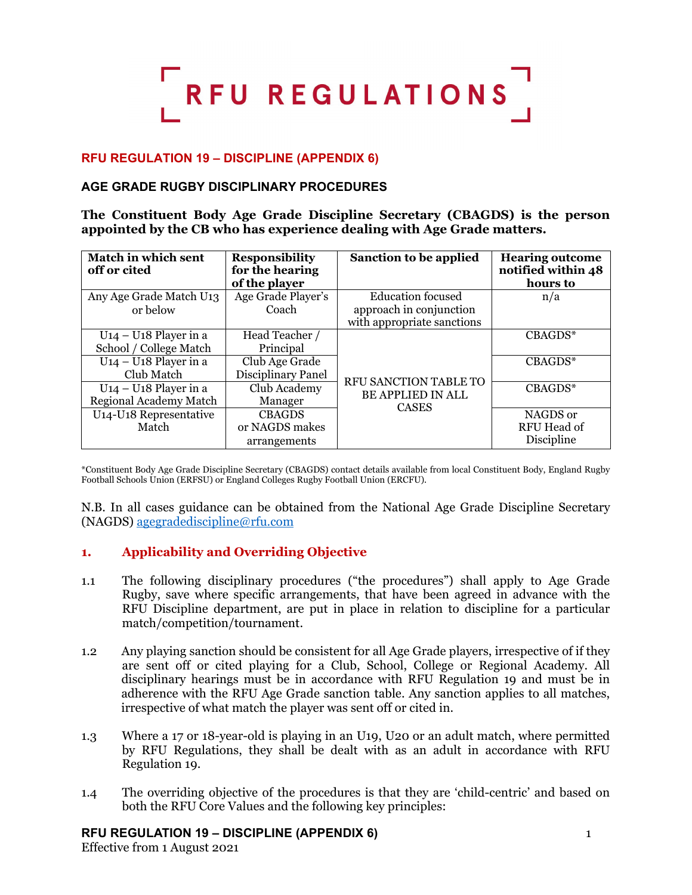# RFU REGULATIONS

# **RFU REGULATION 19 – DISCIPLINE (APPENDIX 6)**

# **AGE GRADE RUGBY DISCIPLINARY PROCEDURES**

**The Constituent Body Age Grade Discipline Secretary (CBAGDS) is the person appointed by the CB who has experience dealing with Age Grade matters.**

| <b>Match in which sent</b><br>off or cited | <b>Responsibility</b><br>for the hearing<br>of the player | Sanction to be applied                                            | <b>Hearing outcome</b><br>notified within 48<br>hours to |
|--------------------------------------------|-----------------------------------------------------------|-------------------------------------------------------------------|----------------------------------------------------------|
| Any Age Grade Match U13                    | Age Grade Player's                                        | <b>Education focused</b>                                          | n/a                                                      |
| or below                                   | Coach                                                     | approach in conjunction                                           |                                                          |
|                                            |                                                           | with appropriate sanctions                                        |                                                          |
| $U_14 - U_18$ Player in a                  | Head Teacher /                                            |                                                                   | CBAGDS*                                                  |
| School / College Match                     | Principal                                                 |                                                                   |                                                          |
| $U_14 - U_18$ Player in a                  | Club Age Grade                                            |                                                                   | CBAGDS*                                                  |
| Club Match                                 | Disciplinary Panel                                        |                                                                   |                                                          |
| $U_14 - U_18$ Player in a                  | Club Academy                                              | RFU SANCTION TABLE TO<br><b>BE APPLIED IN ALL</b><br><b>CASES</b> | $CBAGDS*$                                                |
| <b>Regional Academy Match</b>              | Manager                                                   |                                                                   |                                                          |
| U14-U18 Representative                     | <b>CBAGDS</b>                                             |                                                                   | NAGDS or                                                 |
| Match                                      | or NAGDS makes                                            |                                                                   | RFU Head of                                              |
|                                            | arrangements                                              |                                                                   | Discipline                                               |

\*Constituent Body Age Grade Discipline Secretary (CBAGDS) contact details available from local Constituent Body, England Rugby Football Schools Union (ERFSU) or England Colleges Rugby Football Union (ERCFU).

N.B. In all cases guidance can be obtained from the National Age Grade Discipline Secretary (NAGDS) [agegradediscipline@rfu.com](mailto:agegradediscipline@rfu.com)

# **1. Applicability and Overriding Objective**

- 1.1 The following disciplinary procedures ("the procedures") shall apply to Age Grade Rugby, save where specific arrangements, that have been agreed in advance with the RFU Discipline department, are put in place in relation to discipline for a particular match/competition/tournament.
- 1.2 Any playing sanction should be consistent for all Age Grade players, irrespective of if they are sent off or cited playing for a Club, School, College or Regional Academy. All disciplinary hearings must be in accordance with RFU Regulation 19 and must be in adherence with the RFU Age Grade sanction table. Any sanction applies to all matches, irrespective of what match the player was sent off or cited in.
- 1.3 Where a 17 or 18-year-old is playing in an U19, U20 or an adult match, where permitted by RFU Regulations, they shall be dealt with as an adult in accordance with RFU Regulation 19.
- 1.4 The overriding objective of the procedures is that they are 'child-centric' and based on both the RFU Core Values and the following key principles:

# **RFU REGULATION 19 – DISCIPLINE (APPENDIX 6)** 1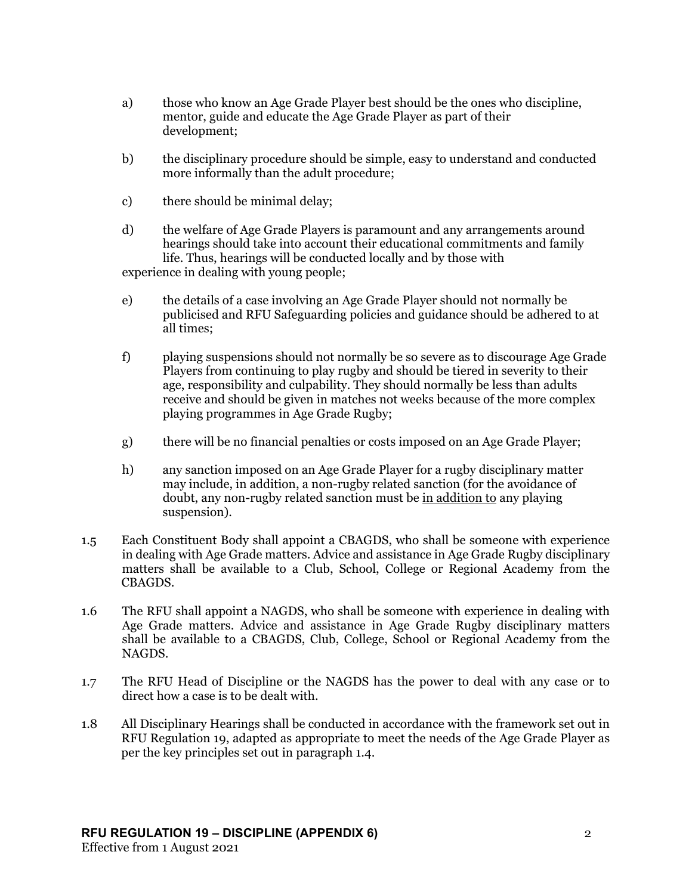- a) those who know an Age Grade Player best should be the ones who discipline, mentor, guide and educate the Age Grade Player as part of their development;
- b) the disciplinary procedure should be simple, easy to understand and conducted more informally than the adult procedure;
- c) there should be minimal delay;
- d) the welfare of Age Grade Players is paramount and any arrangements around hearings should take into account their educational commitments and family life. Thus, hearings will be conducted locally and by those with experience in dealing with young people;
- e) the details of a case involving an Age Grade Player should not normally be publicised and RFU Safeguarding policies and guidance should be adhered to at all times;
- f) playing suspensions should not normally be so severe as to discourage Age Grade Players from continuing to play rugby and should be tiered in severity to their age, responsibility and culpability. They should normally be less than adults receive and should be given in matches not weeks because of the more complex playing programmes in Age Grade Rugby;
- g) there will be no financial penalties or costs imposed on an Age Grade Player;
- h) any sanction imposed on an Age Grade Player for a rugby disciplinary matter may include, in addition, a non-rugby related sanction (for the avoidance of doubt, any non-rugby related sanction must be in addition to any playing suspension).
- 1.5 Each Constituent Body shall appoint a CBAGDS, who shall be someone with experience in dealing with Age Grade matters. Advice and assistance in Age Grade Rugby disciplinary matters shall be available to a Club, School, College or Regional Academy from the CBAGDS.
- 1.6 The RFU shall appoint a NAGDS, who shall be someone with experience in dealing with Age Grade matters. Advice and assistance in Age Grade Rugby disciplinary matters shall be available to a CBAGDS, Club, College, School or Regional Academy from the NAGDS.
- 1.7 The RFU Head of Discipline or the NAGDS has the power to deal with any case or to direct how a case is to be dealt with.
- 1.8 All Disciplinary Hearings shall be conducted in accordance with the framework set out in RFU Regulation 19, adapted as appropriate to meet the needs of the Age Grade Player as per the key principles set out in paragraph 1.4.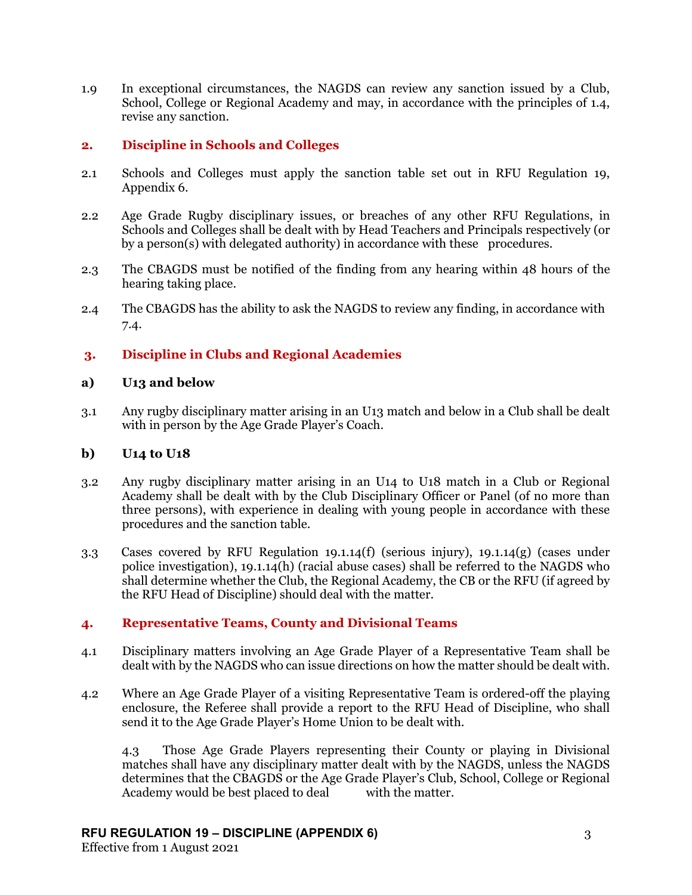1.9 In exceptional circumstances, the NAGDS can review any sanction issued by a Club, School, College or Regional Academy and may, in accordance with the principles of 1.4, revise any sanction.

# **2. Discipline in Schools and Colleges**

- 2.1 Schools and Colleges must apply the sanction table set out in RFU Regulation 19, Appendix 6.
- 2.2 Age Grade Rugby disciplinary issues, or breaches of any other RFU Regulations, in Schools and Colleges shall be dealt with by Head Teachers and Principals respectively (or by a person(s) with delegated authority) in accordance with these procedures.
- 2.3 The CBAGDS must be notified of the finding from any hearing within 48 hours of the hearing taking place.
- 2.4 The CBAGDS has the ability to ask the NAGDS to review any finding, in accordance with 7.4.

# **3. Discipline in Clubs and Regional Academies**

# **a) U13 and below**

3.1 Any rugby disciplinary matter arising in an U13 match and below in a Club shall be dealt with in person by the Age Grade Player's Coach.

# **b) U14 to U18**

- 3.2 Any rugby disciplinary matter arising in an U14 to U18 match in a Club or Regional Academy shall be dealt with by the Club Disciplinary Officer or Panel (of no more than three persons), with experience in dealing with young people in accordance with these procedures and the sanction table.
- 3.3 Cases covered by RFU Regulation 19.1.14(f) (serious injury), 19.1.14(g) (cases under police investigation), 19.1.14(h) (racial abuse cases) shall be referred to the NAGDS who shall determine whether the Club, the Regional Academy, the CB or the RFU (if agreed by the RFU Head of Discipline) should deal with the matter.

# **4. Representative Teams, County and Divisional Teams**

- 4.1 Disciplinary matters involving an Age Grade Player of a Representative Team shall be dealt with by the NAGDS who can issue directions on how the matter should be dealt with.
- 4.2 Where an Age Grade Player of a visiting Representative Team is ordered-off the playing enclosure, the Referee shall provide a report to the RFU Head of Discipline, who shall send it to the Age Grade Player's Home Union to be dealt with.

4.3 Those Age Grade Players representing their County or playing in Divisional matches shall have any disciplinary matter dealt with by the NAGDS, unless the NAGDS determines that the CBAGDS or the Age Grade Player's Club, School, College or Regional Academy would be best placed to deal with the matter.

# **RFU REGULATION 19 – DISCIPLINE (APPENDIX 6)** 3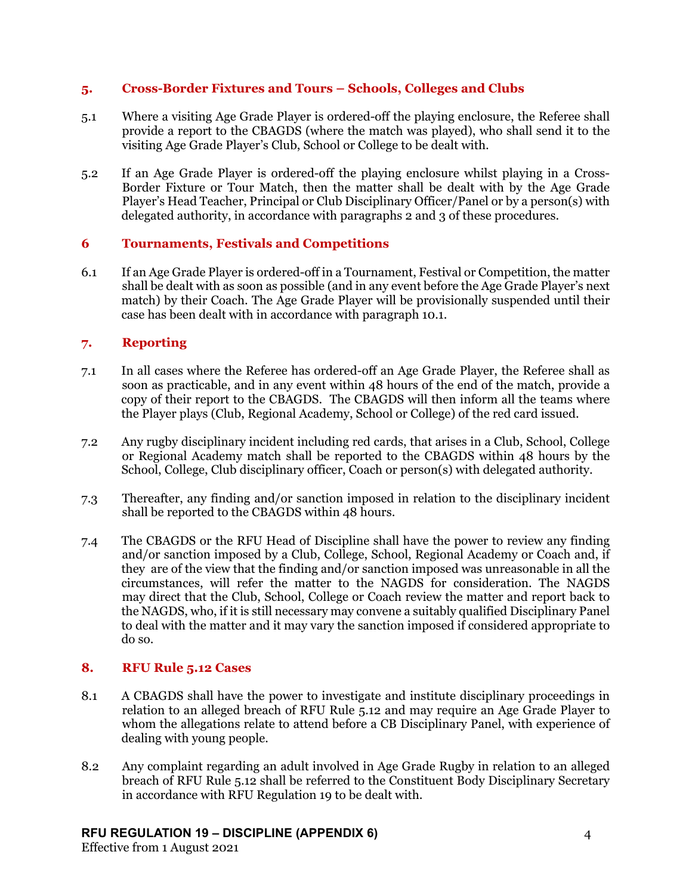# **5. Cross-Border Fixtures and Tours – Schools, Colleges and Clubs**

- 5.1 Where a visiting Age Grade Player is ordered-off the playing enclosure, the Referee shall provide a report to the CBAGDS (where the match was played), who shall send it to the visiting Age Grade Player's Club, School or College to be dealt with.
- 5.2 If an Age Grade Player is ordered-off the playing enclosure whilst playing in a Cross-Border Fixture or Tour Match, then the matter shall be dealt with by the Age Grade Player's Head Teacher, Principal or Club Disciplinary Officer/Panel or by a person(s) with delegated authority, in accordance with paragraphs 2 and 3 of these procedures.

# **6 Tournaments, Festivals and Competitions**

6.1 If an Age Grade Player is ordered-off in a Tournament, Festival or Competition, the matter shall be dealt with as soon as possible (and in any event before the Age Grade Player's next match) by their Coach. The Age Grade Player will be provisionally suspended until their case has been dealt with in accordance with paragraph 10.1.

# **7. Reporting**

- 7.1 In all cases where the Referee has ordered-off an Age Grade Player, the Referee shall as soon as practicable, and in any event within 48 hours of the end of the match, provide a copy of their report to the CBAGDS. The CBAGDS will then inform all the teams where the Player plays (Club, Regional Academy, School or College) of the red card issued.
- 7.2 Any rugby disciplinary incident including red cards, that arises in a Club, School, College or Regional Academy match shall be reported to the CBAGDS within 48 hours by the School, College, Club disciplinary officer, Coach or person(s) with delegated authority.
- 7.3 Thereafter, any finding and/or sanction imposed in relation to the disciplinary incident shall be reported to the CBAGDS within 48 hours.
- 7.4 The CBAGDS or the RFU Head of Discipline shall have the power to review any finding and/or sanction imposed by a Club, College, School, Regional Academy or Coach and, if they are of the view that the finding and/or sanction imposed was unreasonable in all the circumstances, will refer the matter to the NAGDS for consideration. The NAGDS may direct that the Club, School, College or Coach review the matter and report back to the NAGDS, who, if it is still necessary may convene a suitably qualified Disciplinary Panel to deal with the matter and it may vary the sanction imposed if considered appropriate to do so.

# **8. RFU Rule 5.12 Cases**

- 8.1 A CBAGDS shall have the power to investigate and institute disciplinary proceedings in relation to an alleged breach of RFU Rule 5.12 and may require an Age Grade Player to whom the allegations relate to attend before a CB Disciplinary Panel, with experience of dealing with young people.
- 8.2 Any complaint regarding an adult involved in Age Grade Rugby in relation to an alleged breach of RFU Rule 5.12 shall be referred to the Constituent Body Disciplinary Secretary in accordance with RFU Regulation 19 to be dealt with.

# **RFU REGULATION 19 – DISCIPLINE (APPENDIX 6)** 4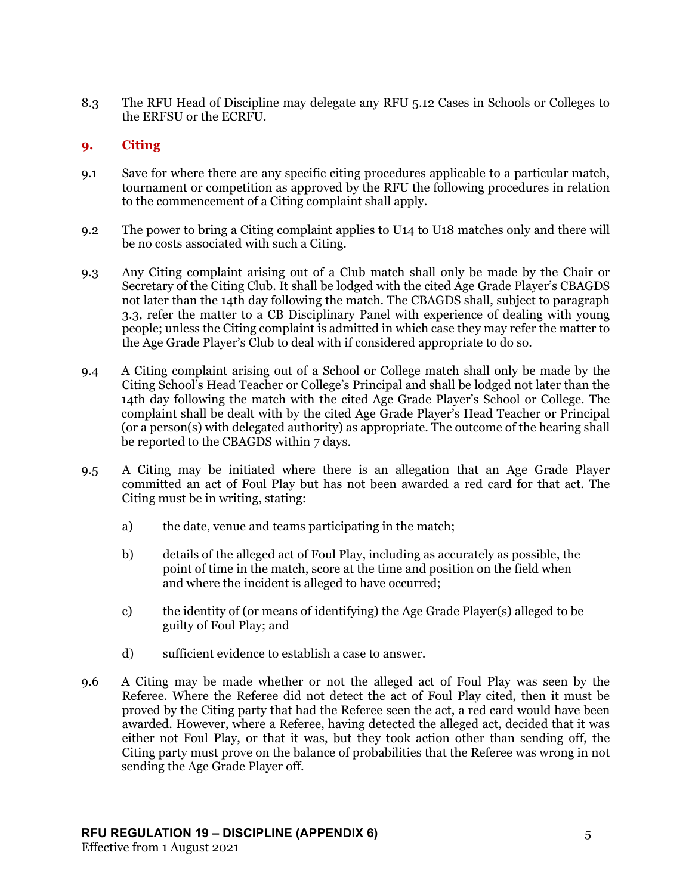8.3 The RFU Head of Discipline may delegate any RFU 5.12 Cases in Schools or Colleges to the ERFSU or the ECRFU.

# **9. Citing**

- 9.1 Save for where there are any specific citing procedures applicable to a particular match, tournament or competition as approved by the RFU the following procedures in relation to the commencement of a Citing complaint shall apply.
- 9.2 The power to bring a Citing complaint applies to U14 to U18 matches only and there will be no costs associated with such a Citing.
- 9.3 Any Citing complaint arising out of a Club match shall only be made by the Chair or Secretary of the Citing Club. It shall be lodged with the cited Age Grade Player's CBAGDS not later than the 14th day following the match. The CBAGDS shall, subject to paragraph 3.3, refer the matter to a CB Disciplinary Panel with experience of dealing with young people; unless the Citing complaint is admitted in which case they may refer the matter to the Age Grade Player's Club to deal with if considered appropriate to do so.
- 9.4 A Citing complaint arising out of a School or College match shall only be made by the Citing School's Head Teacher or College's Principal and shall be lodged not later than the 14th day following the match with the cited Age Grade Player's School or College. The complaint shall be dealt with by the cited Age Grade Player's Head Teacher or Principal (or a person(s) with delegated authority) as appropriate. The outcome of the hearing shall be reported to the CBAGDS within 7 days.
- 9.5 A Citing may be initiated where there is an allegation that an Age Grade Player committed an act of Foul Play but has not been awarded a red card for that act. The Citing must be in writing, stating:
	- a) the date, venue and teams participating in the match;
	- b) details of the alleged act of Foul Play, including as accurately as possible, the point of time in the match, score at the time and position on the field when and where the incident is alleged to have occurred;
	- c) the identity of (or means of identifying) the Age Grade Player(s) alleged to be guilty of Foul Play; and
	- d) sufficient evidence to establish a case to answer.
- 9.6 A Citing may be made whether or not the alleged act of Foul Play was seen by the Referee. Where the Referee did not detect the act of Foul Play cited, then it must be proved by the Citing party that had the Referee seen the act, a red card would have been awarded. However, where a Referee, having detected the alleged act, decided that it was either not Foul Play, or that it was, but they took action other than sending off, the Citing party must prove on the balance of probabilities that the Referee was wrong in not sending the Age Grade Player off.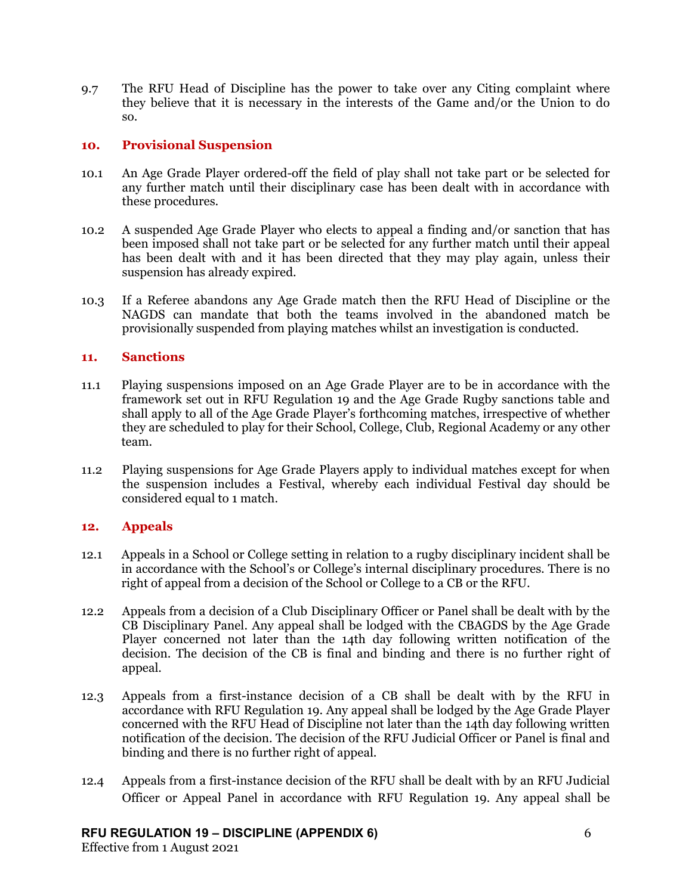9.7 The RFU Head of Discipline has the power to take over any Citing complaint where they believe that it is necessary in the interests of the Game and/or the Union to do so.

## **10. Provisional Suspension**

- 10.1 An Age Grade Player ordered-off the field of play shall not take part or be selected for any further match until their disciplinary case has been dealt with in accordance with these procedures.
- 10.2 A suspended Age Grade Player who elects to appeal a finding and/or sanction that has been imposed shall not take part or be selected for any further match until their appeal has been dealt with and it has been directed that they may play again, unless their suspension has already expired.
- 10.3 If a Referee abandons any Age Grade match then the RFU Head of Discipline or the NAGDS can mandate that both the teams involved in the abandoned match be provisionally suspended from playing matches whilst an investigation is conducted.

## **11. Sanctions**

- 11.1 Playing suspensions imposed on an Age Grade Player are to be in accordance with the framework set out in RFU Regulation 19 and the Age Grade Rugby sanctions table and shall apply to all of the Age Grade Player's forthcoming matches, irrespective of whether they are scheduled to play for their School, College, Club, Regional Academy or any other team.
- 11.2 Playing suspensions for Age Grade Players apply to individual matches except for when the suspension includes a Festival, whereby each individual Festival day should be considered equal to 1 match.

# **12. Appeals**

- 12.1 Appeals in a School or College setting in relation to a rugby disciplinary incident shall be in accordance with the School's or College's internal disciplinary procedures. There is no right of appeal from a decision of the School or College to a CB or the RFU.
- 12.2 Appeals from a decision of a Club Disciplinary Officer or Panel shall be dealt with by the CB Disciplinary Panel. Any appeal shall be lodged with the CBAGDS by the Age Grade Player concerned not later than the 14th day following written notification of the decision. The decision of the CB is final and binding and there is no further right of appeal.
- 12.3 Appeals from a first-instance decision of a CB shall be dealt with by the RFU in accordance with RFU Regulation 19. Any appeal shall be lodged by the Age Grade Player concerned with the RFU Head of Discipline not later than the 14th day following written notification of the decision. The decision of the RFU Judicial Officer or Panel is final and binding and there is no further right of appeal.
- 12.4 Appeals from a first-instance decision of the RFU shall be dealt with by an RFU Judicial Officer or Appeal Panel in accordance with RFU Regulation 19. Any appeal shall be

### **RFU REGULATION 19 – DISCIPLINE (APPENDIX 6)** 6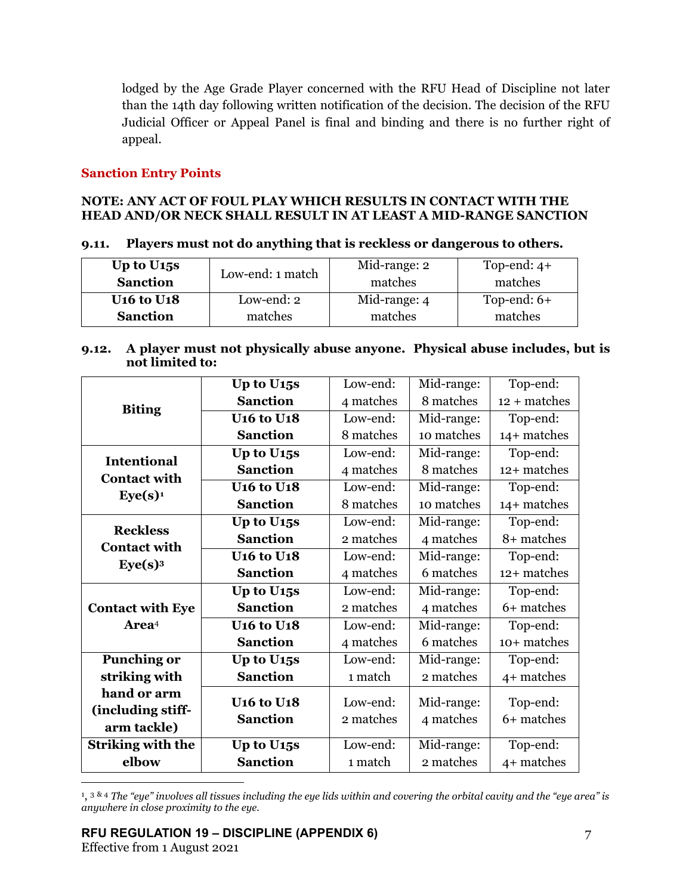lodged by the Age Grade Player concerned with the RFU Head of Discipline not later than the 14th day following written notification of the decision. The decision of the RFU Judicial Officer or Appeal Panel is final and binding and there is no further right of appeal.

# **Sanction Entry Points**

# **NOTE: ANY ACT OF FOUL PLAY WHICH RESULTS IN CONTACT WITH THE HEAD AND/OR NECK SHALL RESULT IN AT LEAST A MID-RANGE SANCTION**

| 9.11. Players must not do anything that is reckless or dangerous to others. |  |  |
|-----------------------------------------------------------------------------|--|--|
|                                                                             |  |  |

| Up to $U15s$                             | Low-end: 1 match | Mid-range: 2 | Top-end: $4+$ |
|------------------------------------------|------------------|--------------|---------------|
| <b>Sanction</b>                          |                  | matches      | matches       |
| <b>U<sub>16</sub></b> to U <sub>18</sub> | Low-end: 2       | Mid-range: 4 | Top-end: $6+$ |
| <b>Sanction</b>                          | matches          | matches      | matches       |

## **9.12. A player must not physically abuse anyone. Physical abuse includes, but is not limited to:**

|                          | Up to U <sub>15</sub> s                  | Low-end:  | Mid-range: | Top-end:       |
|--------------------------|------------------------------------------|-----------|------------|----------------|
| <b>Biting</b>            | <b>Sanction</b>                          | 4 matches | 8 matches  | $12 + matches$ |
|                          | <b>U<sub>16</sub></b> to U <sub>18</sub> | Low-end:  | Mid-range: | Top-end:       |
|                          | <b>Sanction</b>                          | 8 matches | 10 matches | 14+ matches    |
| <b>Intentional</b>       | Up to U <sub>15</sub> s                  | Low-end:  | Mid-range: | Top-end:       |
| <b>Contact with</b>      | <b>Sanction</b>                          | 4 matches | 8 matches  | 12+ matches    |
| Eye(s) <sup>1</sup>      | <b>U<sub>16</sub></b> to U <sub>18</sub> | Low-end:  | Mid-range: | Top-end:       |
|                          | <b>Sanction</b>                          | 8 matches | 10 matches | 14+ matches    |
| <b>Reckless</b>          | Up to U <sub>15</sub> s                  | Low-end:  | Mid-range: | Top-end:       |
| <b>Contact with</b>      | <b>Sanction</b>                          | 2 matches | 4 matches  | 8+ matches     |
| Eye(s) <sup>3</sup>      | <b>U<sub>16</sub></b> to U <sub>18</sub> | Low-end:  | Mid-range: | Top-end:       |
|                          | <b>Sanction</b>                          | 4 matches | 6 matches  | 12+ matches    |
|                          | Up to U <sub>15</sub> s                  | Low-end:  | Mid-range: | Top-end:       |
| <b>Contact with Eye</b>  | <b>Sanction</b>                          | 2 matches | 4 matches  | 6+ matches     |
| Area <sup>4</sup>        | <b>U16 to U18</b>                        | Low-end:  | Mid-range: | Top-end:       |
|                          | <b>Sanction</b>                          | 4 matches | 6 matches  | 10+ matches    |
| <b>Punching or</b>       | Up to U <sub>15</sub> s                  | Low-end:  | Mid-range: | Top-end:       |
| striking with            | <b>Sanction</b>                          | 1 match   | 2 matches  | 4+ matches     |
| hand or arm              | <b>U16 to U18</b>                        | Low-end:  | Mid-range: | Top-end:       |
| (including stiff-        | <b>Sanction</b>                          | 2 matches | 4 matches  | 6+ matches     |
| arm tackle)              |                                          |           |            |                |
| <b>Striking with the</b> | Up to U <sub>15</sub> s                  | Low-end:  | Mid-range: | Top-end:       |
| elbow                    | <b>Sanction</b>                          | 1 match   | 2 matches  | 4+ matches     |

<span id="page-6-0"></span><sup>1</sup>, <sup>3 & 4</sup> *The "eye" involves all tissues including the eye lids within and covering the orbital cavity and the "eye area" is anywhere in close proximity to the eye.*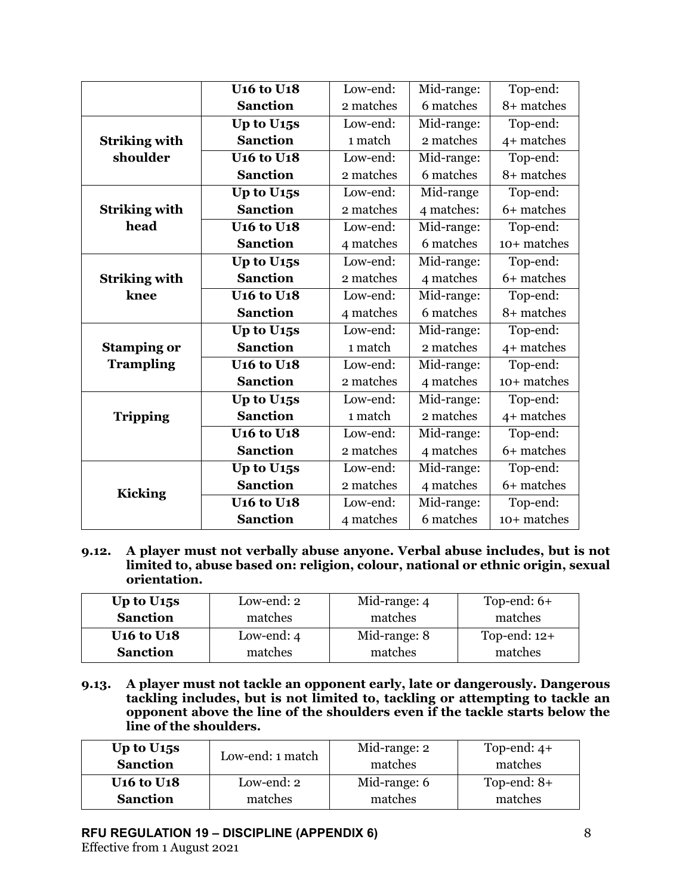|                      | <b>U<sub>16</sub></b> to U <sub>18</sub> | Low-end:  | Mid-range: | Top-end:    |
|----------------------|------------------------------------------|-----------|------------|-------------|
|                      | <b>Sanction</b>                          | 2 matches | 6 matches  | 8+ matches  |
|                      | Up to U <sub>15</sub> s                  | Low-end:  | Mid-range: | Top-end:    |
| <b>Striking with</b> | <b>Sanction</b>                          | 1 match   | 2 matches  | 4+ matches  |
| shoulder             | <b>U<sub>16</sub></b> to U <sub>18</sub> | Low-end:  | Mid-range: | Top-end:    |
|                      | <b>Sanction</b>                          | 2 matches | 6 matches  | 8+ matches  |
|                      | Up to U <sub>15</sub> s                  | Low-end:  | Mid-range  | Top-end:    |
| <b>Striking with</b> | <b>Sanction</b>                          | 2 matches | 4 matches: | 6+ matches  |
| head                 | <b>U16 to U18</b>                        | Low-end:  | Mid-range: | Top-end:    |
|                      | <b>Sanction</b>                          | 4 matches | 6 matches  | 10+ matches |
|                      | Up to U <sub>15</sub> s                  | Low-end:  | Mid-range: | Top-end:    |
| <b>Striking with</b> | <b>Sanction</b>                          | 2 matches | 4 matches  | 6+ matches  |
| knee                 | <b>U16 to U18</b>                        | Low-end:  | Mid-range: | Top-end:    |
|                      | <b>Sanction</b>                          | 4 matches | 6 matches  | 8+ matches  |
|                      | Up to U <sub>15</sub> s                  | Low-end:  | Mid-range: | Top-end:    |
| <b>Stamping or</b>   | <b>Sanction</b>                          | 1 match   | 2 matches  | 4+ matches  |
| <b>Trampling</b>     | <b>U16 to U18</b>                        | Low-end:  | Mid-range: | Top-end:    |
|                      | <b>Sanction</b>                          | 2 matches | 4 matches  | 10+ matches |
|                      | Up to U <sub>15</sub> s                  | Low-end:  | Mid-range: | Top-end:    |
| <b>Tripping</b>      | <b>Sanction</b>                          | 1 match   | 2 matches  | 4+ matches  |
|                      | <b>U<sub>16</sub></b> to U <sub>18</sub> | Low-end:  | Mid-range: | Top-end:    |
|                      | <b>Sanction</b>                          | 2 matches | 4 matches  | 6+ matches  |
|                      | Up to U <sub>15</sub> s                  | Low-end:  | Mid-range: | Top-end:    |
| <b>Kicking</b>       | <b>Sanction</b>                          | 2 matches | 4 matches  | 6+ matches  |
|                      | <b>U16 to U18</b>                        | Low-end:  | Mid-range: | Top-end:    |
|                      | <b>Sanction</b>                          | 4 matches | 6 matches  | 10+ matches |

**9.12. A player must not verbally abuse anyone. Verbal abuse includes, but is not limited to, abuse based on: religion, colour, national or ethnic origin, sexual orientation.**

| Up to $U15s$                             | Low-end: 2   | Mid-range: 4 | Top-end: $6+$  |
|------------------------------------------|--------------|--------------|----------------|
| <b>Sanction</b>                          | matches      | matches      | matches        |
| <b>U<sub>16</sub></b> to U <sub>18</sub> | Low-end: $4$ | Mid-range: 8 | Top-end: $12+$ |
| <b>Sanction</b>                          | matches      | matches      | matches        |

**9.13. A player must not tackle an opponent early, late or dangerously. Dangerous tackling includes, but is not limited to, tackling or attempting to tackle an opponent above the line of the shoulders even if the tackle starts below the line of the shoulders.**

| Up to $U_{15S}$<br><b>Sanction</b>       | Low-end: 1 match | Mid-range: 2<br>matches | Top-end: $4+$<br>matches |
|------------------------------------------|------------------|-------------------------|--------------------------|
| <b>U<sub>16</sub></b> to U <sub>18</sub> | Low-end: 2       | Mid-range: 6            | Top-end: $8+$            |
| <b>Sanction</b>                          | matches          | matches                 | matches                  |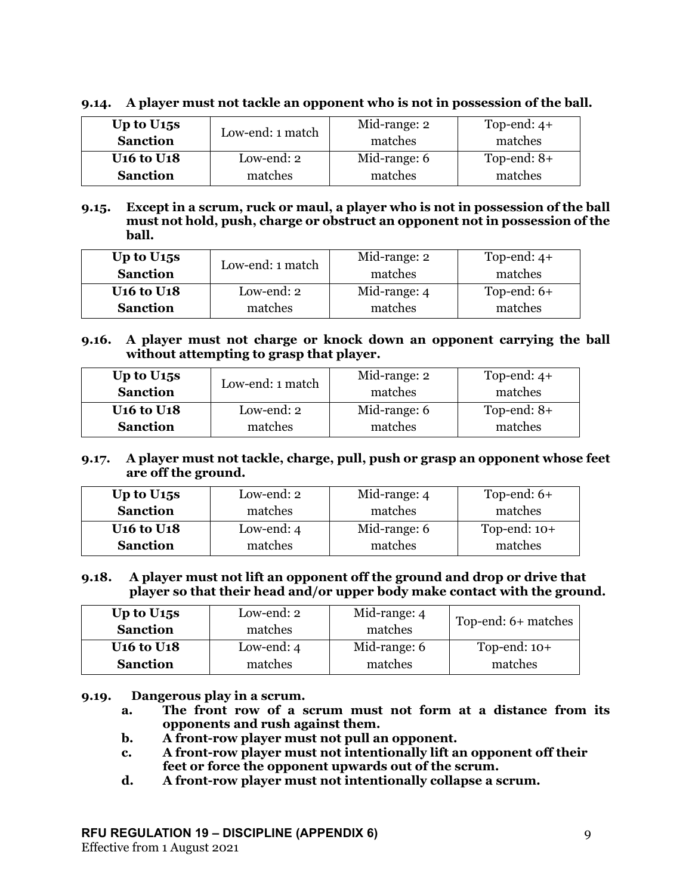# **9.14. A player must not tackle an opponent who is not in possession of the ball.**

| Up to $U15s$                             | Low-end: 1 match | Mid-range: 2 | Top-end: $4+$ |
|------------------------------------------|------------------|--------------|---------------|
| <b>Sanction</b>                          |                  | matches      | matches       |
| <b>U<sub>16</sub></b> to U <sub>18</sub> | Low-end: 2       | Mid-range: 6 | Top-end: $8+$ |
| <b>Sanction</b>                          | matches          | matches      | matches       |

**9.15. Except in a scrum, ruck or maul, a player who is not in possession of the ball must not hold, push, charge or obstruct an opponent not in possession of the ball.** 

| Up to $U15s$                             | Low-end: 1 match | Mid-range: 2 | Top-end: $4+$ |
|------------------------------------------|------------------|--------------|---------------|
| <b>Sanction</b>                          |                  | matches      | matches       |
| <b>U<sub>16</sub></b> to U <sub>18</sub> | Low-end: 2       | Mid-range: 4 | Top-end: $6+$ |
| <b>Sanction</b>                          | matches          | matches      | matches       |

**9.16. A player must not charge or knock down an opponent carrying the ball without attempting to grasp that player.** 

| Up to $U_{15S}$                          | Low-end: 1 match | Mid-range: 2 | Top-end: $4+$ |
|------------------------------------------|------------------|--------------|---------------|
| <b>Sanction</b>                          |                  | matches      | matches       |
| <b>U<sub>16</sub></b> to U <sub>18</sub> | Low-end: 2       | Mid-range: 6 | Top-end: $8+$ |
| <b>Sanction</b>                          | matches          | matches      | matches       |

## **9.17. A player must not tackle, charge, pull, push or grasp an opponent whose feet are off the ground.**

| Up to $U15s$                             | Low-end: 2   | Mid-range: 4 | Top-end: $6+$  |
|------------------------------------------|--------------|--------------|----------------|
| <b>Sanction</b>                          | matches      | matches      | matches        |
| <b>U<sub>16</sub></b> to U <sub>18</sub> | Low-end: $4$ | Mid-range: 6 | Top-end: $10+$ |
| <b>Sanction</b>                          | matches      | matches      | matches        |

## **9.18. A player must not lift an opponent off the ground and drop or drive that player so that their head and/or upper body make contact with the ground.**

| Up to $U_{15S}$<br><b>Sanction</b>       | Low-end: 2<br>matches | Mid-range: 4<br>matches | Top-end: 6+ matches |
|------------------------------------------|-----------------------|-------------------------|---------------------|
| <b>U<sub>16</sub></b> to U <sub>18</sub> | Low-end: $4$          | Mid-range: 6            | Top-end: $10+$      |
| <b>Sanction</b>                          | matches               | matches                 | matches             |

**9.19. Dangerous play in a scrum.** 

- **a. The front row of a scrum must not form at a distance from its opponents and rush against them.**
- **b. A front-row player must not pull an opponent.**
- **c. A front-row player must not intentionally lift an opponent off their feet or force the opponent upwards out of the scrum.**
- **d. A front-row player must not intentionally collapse a scrum.**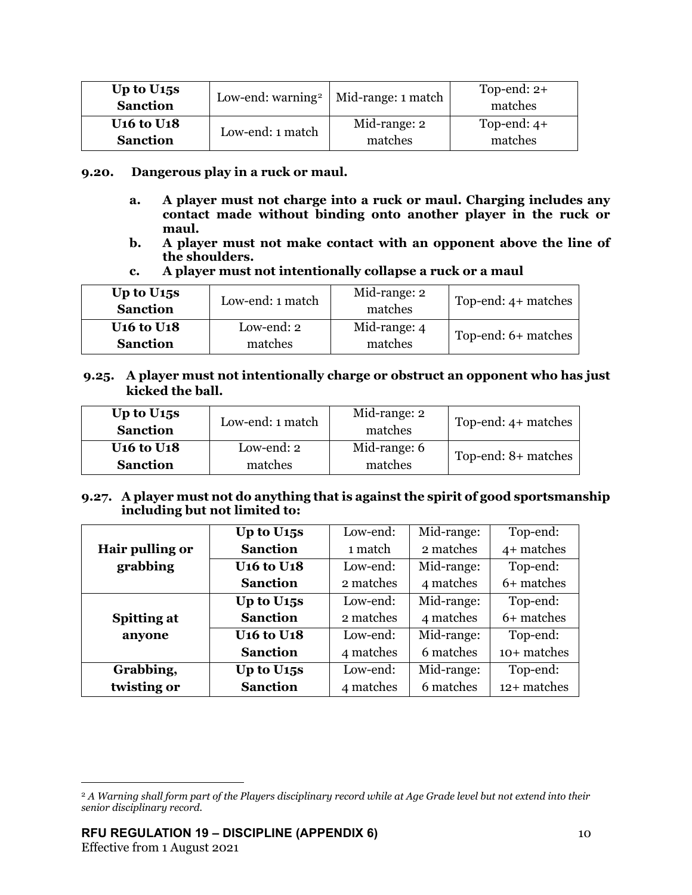| Up to $U15s$<br><b>Sanction</b>          |                  | Low-end: warning <sup>2</sup>   Mid-range: 1 match | Top-end: $2+$<br>matches |
|------------------------------------------|------------------|----------------------------------------------------|--------------------------|
| <b>U<sub>16</sub></b> to U <sub>18</sub> | Low-end: 1 match | Mid-range: 2                                       | Top-end: $4+$            |
| <b>Sanction</b>                          |                  | matches                                            | matches                  |

## **9.20. Dangerous play in a ruck or maul.**

- **a. A player must not charge into a ruck or maul. Charging includes any contact made without binding onto another player in the ruck or maul.**
- **b. A player must not make contact with an opponent above the line of the shoulders.**

## **c. A player must not intentionally collapse a ruck or a maul**

| Up to $U15s$<br><b>Sanction</b>          | Low-end: 1 match | Mid-range: 2<br>matches | Top-end: $4+$ matches |  |
|------------------------------------------|------------------|-------------------------|-----------------------|--|
| <b>U<sub>16</sub></b> to U <sub>18</sub> | Low-end: 2       | Mid-range: 4            |                       |  |
| <b>Sanction</b>                          | matches          | matches                 | Top-end: 6+ matches   |  |

# **9.25. A player must not intentionally charge or obstruct an opponent who has just kicked the ball.**

| Up to $U15s$<br><b>Sanction</b>          | Low-end: 1 match | Mid-range: 2<br>matches | Top-end: 4+ matches |
|------------------------------------------|------------------|-------------------------|---------------------|
| <b>U<sub>16</sub></b> to U <sub>18</sub> | Low-end: 2       | Mid-range: 6            | Top-end: 8+ matches |
| <b>Sanction</b>                          | matches          | matches                 |                     |

## **9.27. A player must not do anything that is against the spirit of good sportsmanship including but not limited to:**

|                    | Up to U <sub>15</sub> s                  | Low-end:  | Mid-range: | Top-end:    |
|--------------------|------------------------------------------|-----------|------------|-------------|
| Hair pulling or    | <b>Sanction</b>                          | 1 match   | 2 matches  | 4+ matches  |
| grabbing           | <b>U<sub>16</sub></b> to U <sub>18</sub> | Low-end:  | Mid-range: | Top-end:    |
|                    | <b>Sanction</b>                          | 2 matches | 4 matches  | 6+ matches  |
|                    | Up to U <sub>15</sub> s                  | Low-end:  | Mid-range: | Top-end:    |
| <b>Spitting at</b> | <b>Sanction</b>                          | 2 matches | 4 matches  | 6+ matches  |
| anyone             | <b>U<sub>16</sub></b> to U <sub>18</sub> | Low-end:  | Mid-range: | Top-end:    |
|                    | <b>Sanction</b>                          | 4 matches | 6 matches  | 10+ matches |
| Grabbing,          | Up to U <sub>15</sub> s                  | Low-end:  | Mid-range: | Top-end:    |
| twisting or        | <b>Sanction</b>                          | 4 matches | 6 matches  | 12+ matches |

<span id="page-9-0"></span><sup>2</sup> *A Warning shall form part of the Players disciplinary record while at Age Grade level but not extend into their senior disciplinary record.*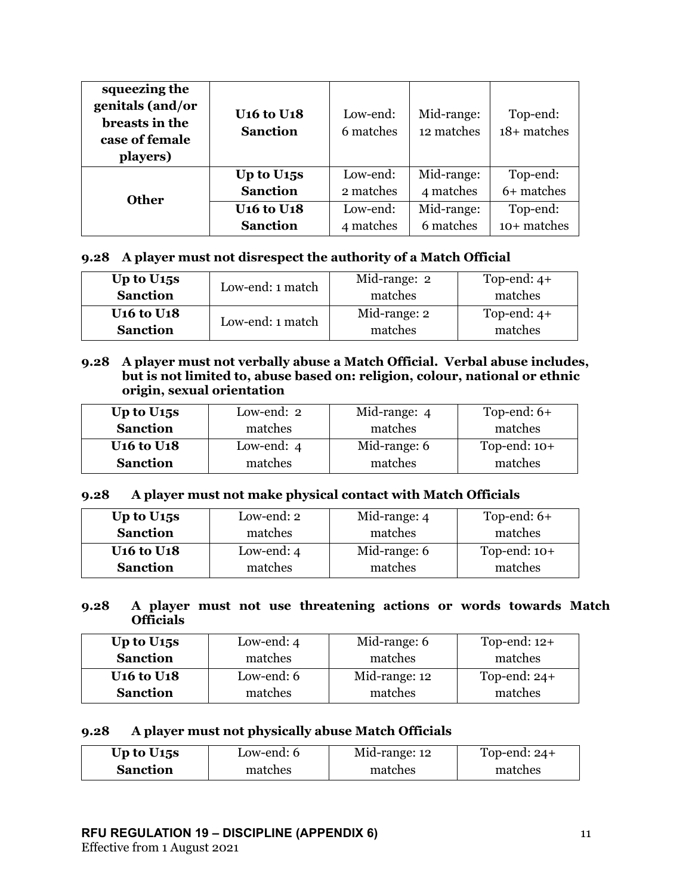| squeezing the<br>genitals (and/or<br>breasts in the<br>case of female<br>players) | <b>U<sub>16</sub></b> to U <sub>18</sub><br><b>Sanction</b> | Low-end:<br>6 matches | Mid-range:<br>12 matches | Top-end:<br>18+ matches |
|-----------------------------------------------------------------------------------|-------------------------------------------------------------|-----------------------|--------------------------|-------------------------|
|                                                                                   | Up to U <sub>15</sub> s                                     | Low-end:              | Mid-range:               | Top-end:                |
| <b>Other</b>                                                                      | <b>Sanction</b>                                             | 2 matches             | 4 matches                | 6+ matches              |
|                                                                                   | <b>U<sub>16</sub></b> to U <sub>18</sub>                    | Low-end:              | Mid-range:               | Top-end:                |
|                                                                                   | <b>Sanction</b>                                             | 4 matches             | 6 matches                | 10+ matches             |

## **9.28 A player must not disrespect the authority of a Match Official**

| Up to $U_{15S}$                          | Low-end: 1 match | Mid-range: 2 | Top-end: $4+$ |
|------------------------------------------|------------------|--------------|---------------|
| <b>Sanction</b>                          |                  | matches      | matches       |
| <b>U<sub>16</sub></b> to U <sub>18</sub> | Low-end: 1 match | Mid-range: 2 | Top-end: $4+$ |
| <b>Sanction</b>                          |                  | matches      | matches       |
|                                          |                  |              |               |

## **9.28 A player must not verbally abuse a Match Official. Verbal abuse includes, but is not limited to, abuse based on: religion, colour, national or ethnic origin, sexual orientation**

| Up to $U15s$                             | Low-end: 2   | Mid-range: 4 | Top-end: $6+$  |
|------------------------------------------|--------------|--------------|----------------|
| <b>Sanction</b>                          | matches      | matches      | matches        |
| <b>U<sub>16</sub></b> to U <sub>18</sub> | Low-end: $4$ | Mid-range: 6 | Top-end: $10+$ |
| <b>Sanction</b>                          | matches      | matches      | matches        |

### **9.28 A player must not make physical contact with Match Officials**

| Up to $U15s$                             | Low-end: 2   | Mid-range: 4 | Top-end: $6+$  |
|------------------------------------------|--------------|--------------|----------------|
| <b>Sanction</b>                          | matches      | matches      | matches        |
| <b>U<sub>16</sub></b> to U <sub>18</sub> | Low-end: $4$ | Mid-range: 6 | Top-end: $10+$ |
| <b>Sanction</b>                          | matches      | matches      | matches        |

### **9.28 A player must not use threatening actions or words towards Match Officials**

| Up to $U15s$                             | Low-end: $4$ | Mid-range: 6  | Top-end: $12+$ |
|------------------------------------------|--------------|---------------|----------------|
| <b>Sanction</b>                          | matches      | matches       | matches        |
| <b>U<sub>16</sub></b> to U <sub>18</sub> | Low-end: 6   | Mid-range: 12 | Top-end: $24+$ |
| <b>Sanction</b>                          | matches      | matches       | matches        |

### **9.28 A player must not physically abuse Match Officials**

| Up to $U_{15S}$ | Low-end: 6 | Mid-range: 12 | Top-end: $24+$ |
|-----------------|------------|---------------|----------------|
| <b>Sanction</b> | matches    | matches       | matches        |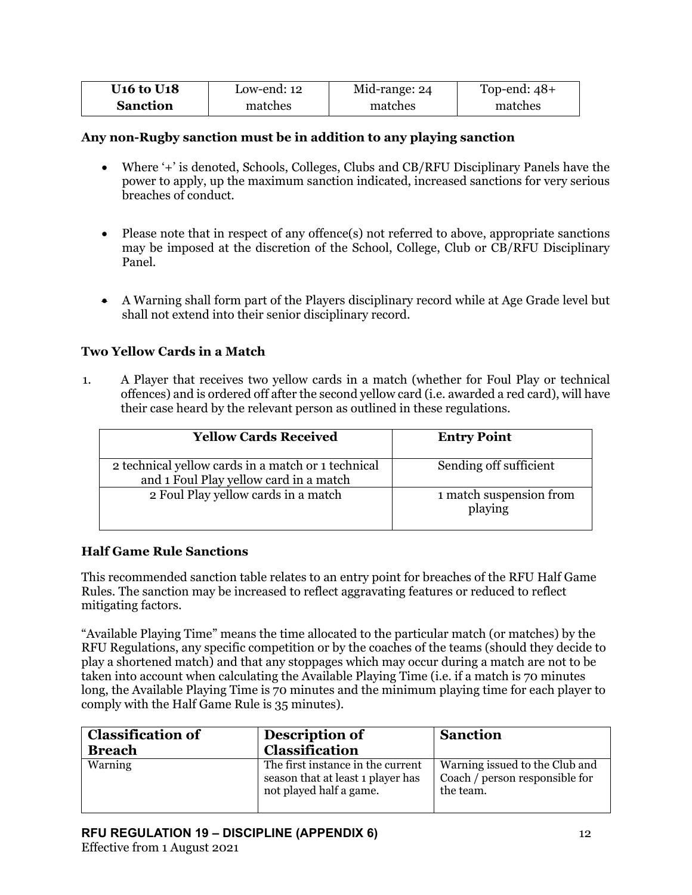| <b>U<sub>16</sub></b> to U <sub>18</sub> | Low-end: 12 | Mid-range: 24 | Top-end: $48+$ |
|------------------------------------------|-------------|---------------|----------------|
| <b>Sanction</b>                          | matches     | matches       | matches        |

# **Any non-Rugby sanction must be in addition to any playing sanction**

- Where '+' is denoted, Schools, Colleges, Clubs and CB/RFU Disciplinary Panels have the power to apply, up the maximum sanction indicated, increased sanctions for very serious breaches of conduct.
- Please note that in respect of any offence(s) not referred to above, appropriate sanctions may be imposed at the discretion of the School, College, Club or CB/RFU Disciplinary Panel.
- A Warning shall form part of the Players disciplinary record while at Age Grade level but shall not extend into their senior disciplinary record.

# **Two Yellow Cards in a Match**

1. A Player that receives two yellow cards in a match (whether for Foul Play or technical offences) and is ordered off after the second yellow card (i.e. awarded a red card), will have their case heard by the relevant person as outlined in these regulations.

| <b>Yellow Cards Received</b>                                                                 | <b>Entry Point</b>                 |
|----------------------------------------------------------------------------------------------|------------------------------------|
| 2 technical yellow cards in a match or 1 technical<br>and 1 Foul Play yellow card in a match | Sending off sufficient             |
| 2 Foul Play yellow cards in a match                                                          | 1 match suspension from<br>playing |

# **Half Game Rule Sanctions**

This recommended sanction table relates to an entry point for breaches of the RFU Half Game Rules. The sanction may be increased to reflect aggravating features or reduced to reflect mitigating factors.

"Available Playing Time" means the time allocated to the particular match (or matches) by the RFU Regulations, any specific competition or by the coaches of the teams (should they decide to play a shortened match) and that any stoppages which may occur during a match are not to be taken into account when calculating the Available Playing Time (i.e. if a match is 70 minutes long, the Available Playing Time is 70 minutes and the minimum playing time for each player to comply with the Half Game Rule is 35 minutes).

| <b>Classification of</b><br><b>Breach</b> | Description of<br><b>Classification</b>                                                           | <b>Sanction</b>                                                               |
|-------------------------------------------|---------------------------------------------------------------------------------------------------|-------------------------------------------------------------------------------|
| Warning                                   | The first instance in the current<br>season that at least 1 player has<br>not played half a game. | Warning issued to the Club and<br>Coach / person responsible for<br>the team. |